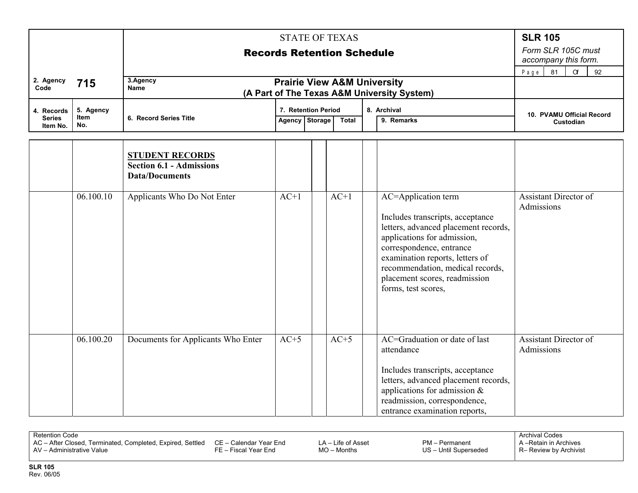|                                         |             |                                                                                    | <b>STATE OF TEXAS</b>             |  |        |  |                                                                                                                                                                                                                                                                                           |                                            |  |  |  |
|-----------------------------------------|-------------|------------------------------------------------------------------------------------|-----------------------------------|--|--------|--|-------------------------------------------------------------------------------------------------------------------------------------------------------------------------------------------------------------------------------------------------------------------------------------------|--------------------------------------------|--|--|--|
|                                         |             |                                                                                    | <b>Records Retention Schedule</b> |  |        |  |                                                                                                                                                                                                                                                                                           |                                            |  |  |  |
|                                         |             |                                                                                    | 81<br>$\alpha$<br>92<br>Page      |  |        |  |                                                                                                                                                                                                                                                                                           |                                            |  |  |  |
| 2. Agency<br>Code                       | 715         | 3.Agency<br><b>Name</b><br>(A Part of The Texas A&M University System)             |                                   |  |        |  |                                                                                                                                                                                                                                                                                           |                                            |  |  |  |
|                                         | 5. Agency   |                                                                                    | 7. Retention Period               |  |        |  |                                                                                                                                                                                                                                                                                           |                                            |  |  |  |
| 4. Records<br><b>Series</b><br>Item No. | Item<br>No. | 6. Record Series Title                                                             | Agency Storage                    |  | Total  |  | 8. Archival<br>9. Remarks                                                                                                                                                                                                                                                                 | 10. PVAMU Official Record<br>Custodian     |  |  |  |
|                                         |             | <b>STUDENT RECORDS</b><br><b>Section 6.1 - Admissions</b><br><b>Data/Documents</b> |                                   |  |        |  |                                                                                                                                                                                                                                                                                           |                                            |  |  |  |
|                                         | 06.100.10   | Applicants Who Do Not Enter                                                        | $AC+1$                            |  | $AC+1$ |  | AC=Application term<br>Includes transcripts, acceptance<br>letters, advanced placement records,<br>applications for admission,<br>correspondence, entrance<br>examination reports, letters of<br>recommendation, medical records,<br>placement scores, readmission<br>forms, test scores, | <b>Assistant Director of</b><br>Admissions |  |  |  |
|                                         | 06.100.20   | Documents for Applicants Who Enter                                                 | $AC+5$                            |  | $AC+5$ |  | AC=Graduation or date of last<br>attendance<br>Includes transcripts, acceptance<br>letters, advanced placement records,<br>applications for admission $\&$<br>readmission, correspondence,<br>entrance examination reports,                                                               | <b>Assistant Director of</b><br>Admissions |  |  |  |

| AV - Administrative Value<br>US - Until Superseded<br>R– Review by Archivist<br>FE – Fiscal Year End<br>$MO$ – Months | Retention Cod <i>e</i><br>  AC - After Closed, Terminated, Completed, Expired, Settled CE - Calendar Year End |  | $LA - Life of Asset$ | PM - Permanent | Archival Codes<br>A-Retain in Archives |
|-----------------------------------------------------------------------------------------------------------------------|---------------------------------------------------------------------------------------------------------------|--|----------------------|----------------|----------------------------------------|
|-----------------------------------------------------------------------------------------------------------------------|---------------------------------------------------------------------------------------------------------------|--|----------------------|----------------|----------------------------------------|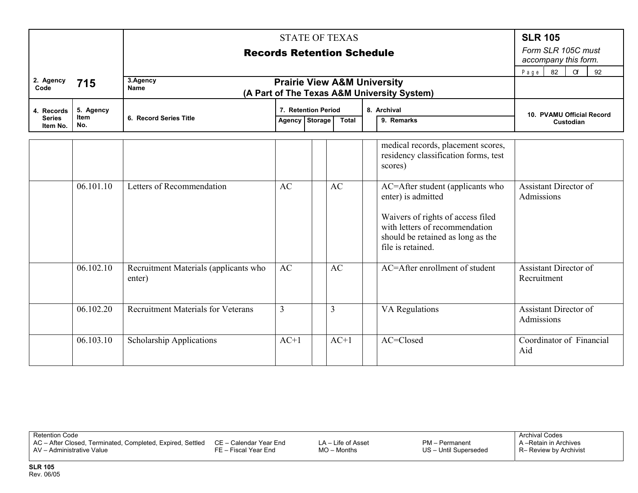|                             |                   | <b>Records Retention Schedule</b>               | <b>SLR 105</b><br>Form SLR 105C must<br>accompany this form.<br>92<br>82<br>$\alpha$<br>Page |   |        |  |                                                                                                                                                                                         |                                             |
|-----------------------------|-------------------|-------------------------------------------------|----------------------------------------------------------------------------------------------|---|--------|--|-----------------------------------------------------------------------------------------------------------------------------------------------------------------------------------------|---------------------------------------------|
| 2. Agency<br>Code           | 715               | 3.Agency<br><b>Name</b>                         | <b>Prairie View A&amp;M University</b>                                                       |   |        |  | (A Part of The Texas A&M University System)                                                                                                                                             |                                             |
| 4. Records<br><b>Series</b> | 5. Agency<br>Item | 6. Record Series Title                          | 7. Retention Period<br>8. Archival<br>Agency Storage<br>9. Remarks<br><b>Total</b>           |   |        |  | 10. PVAMU Official Record<br>Custodian                                                                                                                                                  |                                             |
| Item No.                    | No.               |                                                 |                                                                                              |   |        |  |                                                                                                                                                                                         |                                             |
|                             |                   |                                                 |                                                                                              |   |        |  | medical records, placement scores,<br>residency classification forms, test<br>scores)                                                                                                   |                                             |
|                             | 06.101.10         | Letters of Recommendation                       | AC                                                                                           |   | AC     |  | AC=After student (applicants who<br>enter) is admitted<br>Waivers of rights of access filed<br>with letters of recommendation<br>should be retained as long as the<br>file is retained. | <b>Assistant Director of</b><br>Admissions  |
|                             | 06.102.10         | Recruitment Materials (applicants who<br>enter) | AC                                                                                           |   | AC     |  | AC=After enrollment of student                                                                                                                                                          | <b>Assistant Director of</b><br>Recruitment |
|                             | 06.102.20         | <b>Recruitment Materials for Veterans</b>       | 3                                                                                            | 3 |        |  | VA Regulations                                                                                                                                                                          | <b>Assistant Director of</b><br>Admissions  |
|                             | 06.103.10         | Scholarship Applications                        | $AC+1$                                                                                       |   | $AC+1$ |  | AC=Closed                                                                                                                                                                               | Coordinator of Financial<br>Aid             |

AC – After Closed, Terminated, Completed, Expired, Settled AV – Administrative Value CE – Calendar Year End FE – Fiscal Year End

LA – Life of Asset MO – Months

PM – Permanent US – Until Superseded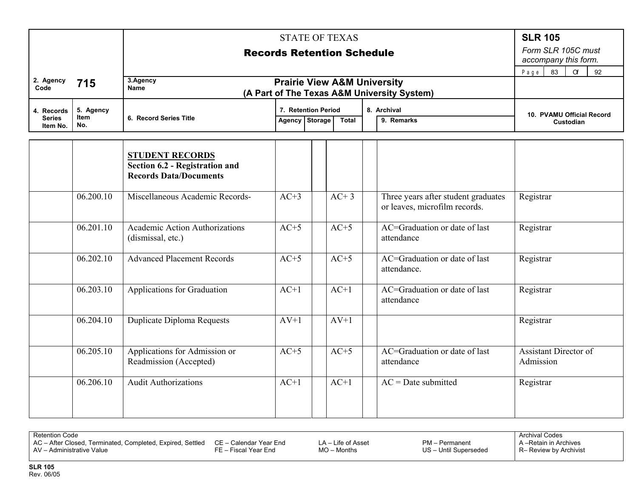|                                         |                                 |                                                                                           |                                       | <b>STATE OF TEXAS</b>             |                                                                      | <b>SLR 105</b>                             |
|-----------------------------------------|---------------------------------|-------------------------------------------------------------------------------------------|---------------------------------------|-----------------------------------|----------------------------------------------------------------------|--------------------------------------------|
|                                         |                                 |                                                                                           |                                       | <b>Records Retention Schedule</b> |                                                                      | Form SLR 105C must<br>accompany this form. |
| 2. Agency<br>Code                       | 715                             | 3.Agency<br><b>Name</b><br>(A Part of The Texas A&M University System)                    | 92<br>83<br>$\alpha$<br>Page          |                                   |                                                                      |                                            |
| 4. Records<br><b>Series</b><br>Item No. | 5. Agency<br><b>Item</b><br>No. | 6. Record Series Title                                                                    | 7. Retention Period<br>Agency Storage | <b>Total</b>                      | 10. PVAMU Official Record<br>Custodian                               |                                            |
|                                         |                                 | <b>STUDENT RECORDS</b><br>Section 6.2 - Registration and<br><b>Records Data/Documents</b> |                                       |                                   |                                                                      |                                            |
|                                         | 06.200.10                       | Miscellaneous Academic Records-                                                           | $AC+3$                                | $AC+3$                            | Three years after student graduates<br>or leaves, microfilm records. | Registrar                                  |
|                                         | 06.201.10                       | <b>Academic Action Authorizations</b><br>(dismissal, etc.)                                | $AC+5$                                | $AC+5$                            | AC=Graduation or date of last<br>attendance                          | Registrar                                  |
|                                         | 06.202.10                       | <b>Advanced Placement Records</b>                                                         | $AC+5$                                | $AC+5$                            | AC=Graduation or date of last<br>attendance.                         | Registrar                                  |
|                                         | 06.203.10                       | Applications for Graduation                                                               | $AC+1$                                | $AC+1$                            | AC=Graduation or date of last<br>attendance                          | Registrar                                  |
|                                         | 06.204.10                       | Duplicate Diploma Requests                                                                | $AV+1$                                | $AV+1$                            |                                                                      | Registrar                                  |
|                                         | 06.205.10                       | Applications for Admission or<br>Readmission (Accepted)                                   | $AC+5$                                | $AC+5$                            | AC=Graduation or date of last<br>attendance                          | <b>Assistant Director of</b><br>Admission  |
|                                         | 06.206.10                       | <b>Audit Authorizations</b>                                                               | $AC+1$                                | $AC+1$                            | $AC = Date$ submitted                                                | Registrar                                  |

| <b>Retention Code</b>                                                                   |                                                |                                       |                                         | <b>Archival Codes</b>                          |
|-----------------------------------------------------------------------------------------|------------------------------------------------|---------------------------------------|-----------------------------------------|------------------------------------------------|
| AC - After Closed, Terminated, Completed, Expired, Settled<br>AV - Administrative Value | CE – Calendar Year End<br>FE – Fiscal Year End | $LA - Life of Asset$<br>$MO$ – Months | PM - Permanent<br>US - Until Superseded | A-Retain in Archives<br>R- Review by Archivist |
|                                                                                         |                                                |                                       |                                         |                                                |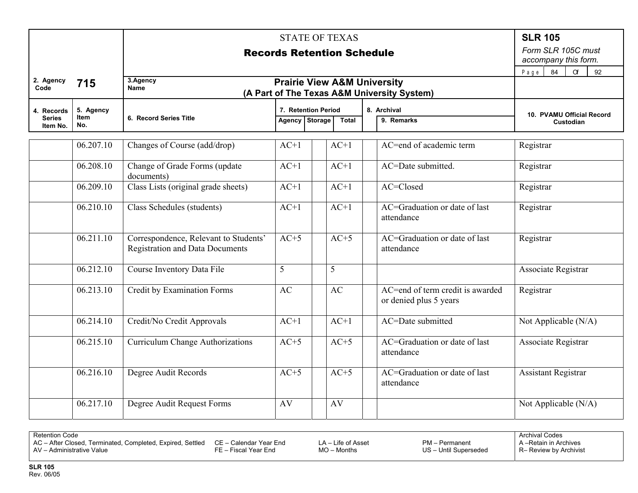|                             |                   |                                                                                 |                                            | <b>STATE OF TEXAS</b>                 |              |                           |                                                            | <b>SLR 105</b>             |
|-----------------------------|-------------------|---------------------------------------------------------------------------------|--------------------------------------------|---------------------------------------|--------------|---------------------------|------------------------------------------------------------|----------------------------|
|                             |                   | <b>Records Retention Schedule</b>                                               | Form SLR 105C must<br>accompany this form. |                                       |              |                           |                                                            |                            |
|                             |                   |                                                                                 | 84<br>$P$ a $g$ $e$<br>$\alpha$<br>92      |                                       |              |                           |                                                            |                            |
| 2. Agency<br>Code           | 715               | 3.Agency<br>Name<br>(A Part of The Texas A&M University System)                 |                                            |                                       |              |                           |                                                            |                            |
| 4. Records<br><b>Series</b> | 5. Agency<br>Item | 6. Record Series Title                                                          |                                            | 7. Retention Period<br>Agency Storage | <b>Total</b> | 8. Archival<br>9. Remarks | 10. PVAMU Official Record                                  |                            |
| Item No.                    | No.               |                                                                                 |                                            |                                       |              |                           |                                                            | Custodian                  |
|                             | 06.207.10         | Changes of Course (add/drop)                                                    | $AC+1$                                     |                                       | $AC+1$       |                           | AC=end of academic term                                    | Registrar                  |
|                             | 06.208.10         | Change of Grade Forms (update<br>documents)                                     | $AC+1$                                     |                                       | $AC+1$       |                           | AC=Date submitted.                                         | Registrar                  |
|                             | 06.209.10         | Class Lists (original grade sheets)                                             | $AC+1$                                     |                                       | $AC+1$       |                           | AC=Closed                                                  | Registrar                  |
|                             | 06.210.10         | Class Schedules (students)                                                      | $AC+1$                                     |                                       | $AC+1$       |                           | AC=Graduation or date of last<br>attendance                | Registrar                  |
|                             | 06.211.10         | Correspondence, Relevant to Students'<br><b>Registration and Data Documents</b> | $AC+5$                                     |                                       | $AC+5$       |                           | AC=Graduation or date of last<br>attendance                | Registrar                  |
|                             | 06.212.10         | Course Inventory Data File                                                      | 5                                          | 5                                     |              |                           |                                                            | Associate Registrar        |
|                             | 06.213.10         | Credit by Examination Forms                                                     | AC                                         | AC                                    |              |                           | AC=end of term credit is awarded<br>or denied plus 5 years | Registrar                  |
|                             | 06.214.10         | Credit/No Credit Approvals                                                      | $AC+1$                                     |                                       | $AC+1$       |                           | AC=Date submitted                                          | Not Applicable (N/A)       |
|                             | 06.215.10         | <b>Curriculum Change Authorizations</b>                                         | $AC+5$                                     |                                       | $AC+5$       |                           | AC=Graduation or date of last<br>attendance                | Associate Registrar        |
|                             | 06.216.10         | Degree Audit Records                                                            | $AC+5$                                     |                                       | $AC+5$       |                           | AC=Graduation or date of last<br>attendance                | <b>Assistant Registrar</b> |
|                             | 06.217.10         | Degree Audit Request Forms                                                      | AV                                         | AV                                    |              |                           |                                                            | Not Applicable (N/A)       |

AC – After Closed, Terminated, Completed, Expired, Settled AV – Administrative Value CE – Calendar Year End FE – Fiscal Year End

LA – Life of Asset MO – Months

PM – Permanent US – Until Superseded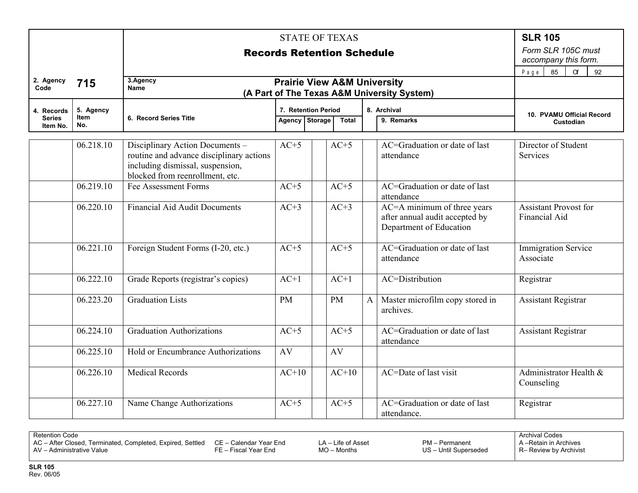|                             |                          |                                                                                                                                                    | <b>STATE OF TEXAS</b>                      |                                                       |         |              |                                                                                          |                                               |  |  |
|-----------------------------|--------------------------|----------------------------------------------------------------------------------------------------------------------------------------------------|--------------------------------------------|-------------------------------------------------------|---------|--------------|------------------------------------------------------------------------------------------|-----------------------------------------------|--|--|
|                             |                          | <b>Records Retention Schedule</b>                                                                                                                  | Form SLR 105C must<br>accompany this form. |                                                       |         |              |                                                                                          |                                               |  |  |
|                             |                          |                                                                                                                                                    | 85<br>Page<br>$\alpha$<br>92               |                                                       |         |              |                                                                                          |                                               |  |  |
| 2. Agency<br>Code           | 715                      | 3.Agency<br><b>Prairie View A&amp;M University</b><br><b>Name</b><br>(A Part of The Texas A&M University System)                                   |                                            |                                                       |         |              |                                                                                          |                                               |  |  |
| 4. Records<br><b>Series</b> | 5. Agency<br><b>Item</b> | 6. Record Series Title                                                                                                                             |                                            | 7. Retention Period<br>Agency Storage<br><b>Total</b> |         |              | 8. Archival<br>9. Remarks                                                                | 10. PVAMU Official Record                     |  |  |
| Item No.                    | No.                      |                                                                                                                                                    |                                            |                                                       |         |              | Custodian                                                                                |                                               |  |  |
|                             | 06.218.10                | Disciplinary Action Documents -<br>routine and advance disciplinary actions<br>including dismissal, suspension,<br>blocked from reenrollment, etc. | $AC+5$                                     |                                                       | $AC+5$  |              | AC=Graduation or date of last<br>attendance                                              | Director of Student<br>Services               |  |  |
|                             | 06.219.10                | Fee Assessment Forms                                                                                                                               | $AC+5$                                     |                                                       | $AC+5$  |              | AC=Graduation or date of last<br>attendance                                              |                                               |  |  |
|                             | 06.220.10                | <b>Financial Aid Audit Documents</b>                                                                                                               | $AC+3$                                     |                                                       | $AC+3$  |              | AC=A minimum of three years<br>after annual audit accepted by<br>Department of Education | <b>Assistant Provost for</b><br>Financial Aid |  |  |
|                             | 06.221.10                | Foreign Student Forms (I-20, etc.)                                                                                                                 | $AC+5$                                     |                                                       | $AC+5$  |              | AC=Graduation or date of last<br>attendance                                              | <b>Immigration Service</b><br>Associate       |  |  |
|                             | 06.222.10                | Grade Reports (registrar's copies)                                                                                                                 | $AC+1$                                     |                                                       | $AC+1$  |              | AC=Distribution                                                                          | Registrar                                     |  |  |
|                             | 06.223.20                | <b>Graduation Lists</b>                                                                                                                            | <b>PM</b>                                  | <b>PM</b>                                             |         | $\mathbf{A}$ | Master microfilm copy stored in<br>archives.                                             | <b>Assistant Registrar</b>                    |  |  |
|                             | 06.224.10                | <b>Graduation Authorizations</b>                                                                                                                   | $AC+5$                                     |                                                       | $AC+5$  |              | AC=Graduation or date of last<br>attendance                                              | <b>Assistant Registrar</b>                    |  |  |
|                             | 06.225.10                | Hold or Encumbrance Authorizations                                                                                                                 | AV                                         | AV                                                    |         |              |                                                                                          |                                               |  |  |
|                             | 06.226.10                | <b>Medical Records</b>                                                                                                                             | $AC+10$                                    |                                                       | $AC+10$ |              | AC=Date of last visit                                                                    | Administrator Health &<br>Counseling          |  |  |
|                             | 06.227.10                | Name Change Authorizations                                                                                                                         | $AC+5$                                     |                                                       | $AC+5$  |              | AC=Graduation or date of last<br>attendance.                                             | Registrar                                     |  |  |

AC – After Closed, Terminated, Completed, Expired, Settled AV – Administrative Value CE – Calendar Year End FE – Fiscal Year End

LA – Life of Asset MO – Months

PM – Permanent US – Until Superseded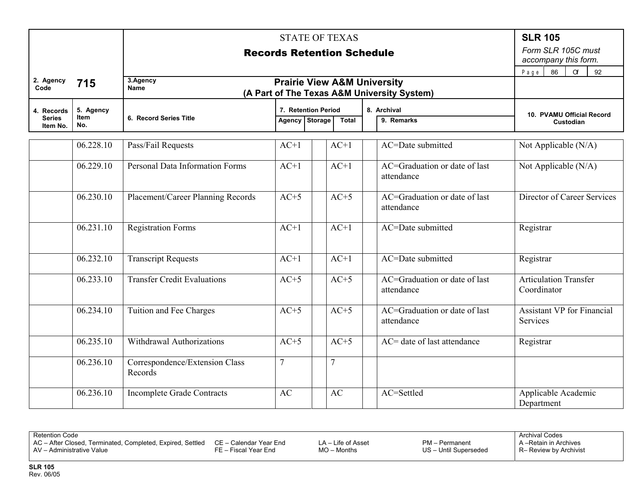|                                         |                          |                                           |                                                                                       | <b>STATE OF TEXAS</b>             |                                             | <b>SLR 105</b>                                |  |  |  |  |  |
|-----------------------------------------|--------------------------|-------------------------------------------|---------------------------------------------------------------------------------------|-----------------------------------|---------------------------------------------|-----------------------------------------------|--|--|--|--|--|
|                                         |                          |                                           |                                                                                       | <b>Records Retention Schedule</b> |                                             | Form SLR 105C must<br>accompany this form.    |  |  |  |  |  |
|                                         |                          |                                           |                                                                                       |                                   |                                             |                                               |  |  |  |  |  |
| 2. Agency<br>Code                       | 715                      | 3.Agency<br><b>Name</b>                   | <b>Prairie View A&amp;M University</b><br>(A Part of The Texas A&M University System) |                                   |                                             |                                               |  |  |  |  |  |
| 4. Records<br><b>Series</b><br>Item No. | 5. Agency<br>Item<br>No. | 6. Record Series Title                    | 7. Retention Period<br>Agency Storage                                                 | <b>Total</b>                      | 8. Archival<br>9. Remarks                   | 10. PVAMU Official Record<br>Custodian        |  |  |  |  |  |
|                                         |                          |                                           |                                                                                       |                                   |                                             |                                               |  |  |  |  |  |
|                                         | 06.228.10                | Pass/Fail Requests                        | $AC+1$                                                                                | $AC+1$                            | AC=Date submitted                           | Not Applicable (N/A)                          |  |  |  |  |  |
|                                         | 06.229.10                | Personal Data Information Forms           | $AC+1$                                                                                | $AC+1$                            | AC=Graduation or date of last<br>attendance | Not Applicable (N/A)                          |  |  |  |  |  |
|                                         | 06.230.10                | Placement/Career Planning Records         | $AC+5$                                                                                | $AC+5$                            | AC=Graduation or date of last<br>attendance | Director of Career Services                   |  |  |  |  |  |
|                                         | 06.231.10                | <b>Registration Forms</b>                 | $AC+1$                                                                                | $AC+1$                            | AC=Date submitted                           | Registrar                                     |  |  |  |  |  |
|                                         | 06.232.10                | <b>Transcript Requests</b>                | $AC+1$                                                                                | $AC+1$                            | AC=Date submitted                           | Registrar                                     |  |  |  |  |  |
|                                         | 06.233.10                | <b>Transfer Credit Evaluations</b>        | $AC+5$                                                                                | $AC+5$                            | AC=Graduation or date of last<br>attendance | <b>Articulation Transfer</b><br>Coordinator   |  |  |  |  |  |
|                                         | 06.234.10                | Tuition and Fee Charges                   | $AC+5$                                                                                | $AC+5$                            | AC=Graduation or date of last<br>attendance | <b>Assistant VP</b> for Financial<br>Services |  |  |  |  |  |
|                                         | 06.235.10                | Withdrawal Authorizations                 | $AC+5$                                                                                | $AC+5$                            | AC= date of last attendance                 | Registrar                                     |  |  |  |  |  |
|                                         | 06.236.10                | Correspondence/Extension Class<br>Records | $\overline{7}$                                                                        | $\overline{7}$                    |                                             |                                               |  |  |  |  |  |
|                                         | 06.236.10                | <b>Incomplete Grade Contracts</b>         | <b>AC</b>                                                                             | <b>AC</b>                         | AC=Settled                                  | Applicable Academic<br>Department             |  |  |  |  |  |

AC – After Closed, Terminated, Completed, Expired, Settled AV – Administrative Value

CE – Calendar Year End FE – Fiscal Year End

LA – Life of Asset MO – Months

PM – Permanent US – Until Superseded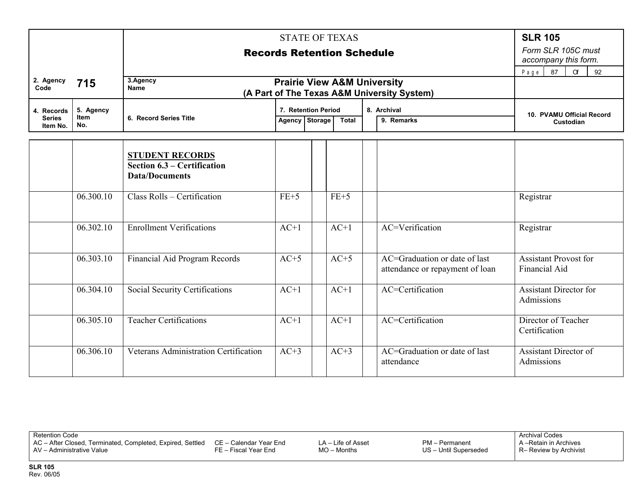|                           |                    |                                       |                                              |  | <b>STATE OF TEXAS</b> |                                                                                       |                                 | <b>SLR 105</b>                             |  |  |
|---------------------------|--------------------|---------------------------------------|----------------------------------------------|--|-----------------------|---------------------------------------------------------------------------------------|---------------------------------|--------------------------------------------|--|--|
|                           |                    |                                       | <b>Records Retention Schedule</b>            |  |                       |                                                                                       |                                 | Form SLR 105C must<br>accompany this form. |  |  |
|                           |                    |                                       | 87<br>92<br>Page<br>$\alpha$                 |  |                       |                                                                                       |                                 |                                            |  |  |
| 2. Agency<br>Code         | 715                | 3.Agency<br><b>Name</b>               |                                              |  |                       | <b>Prairie View A&amp;M University</b><br>(A Part of The Texas A&M University System) |                                 |                                            |  |  |
| 4. Records                | 5. Agency          |                                       | 7. Retention Period<br>8. Archival           |  |                       |                                                                                       |                                 | 10. PVAMU Official Record<br>Custodian     |  |  |
| <b>Series</b><br>Item No. | <b>Item</b><br>No. | 6. Record Series Title                | Agency Storage<br>9. Remarks<br><b>Total</b> |  |                       |                                                                                       |                                 |                                            |  |  |
|                           |                    |                                       |                                              |  |                       |                                                                                       |                                 |                                            |  |  |
|                           |                    | <b>STUDENT RECORDS</b>                |                                              |  |                       |                                                                                       |                                 |                                            |  |  |
|                           |                    | Section 6.3 – Certification           |                                              |  |                       |                                                                                       |                                 |                                            |  |  |
|                           |                    | <b>Data/Documents</b>                 |                                              |  |                       |                                                                                       |                                 |                                            |  |  |
|                           | 06.300.10          | Class Rolls - Certification           | $FE+5$                                       |  | $FE+5$                |                                                                                       |                                 | Registrar                                  |  |  |
|                           |                    |                                       |                                              |  |                       |                                                                                       |                                 |                                            |  |  |
|                           | 06.302.10          | <b>Enrollment Verifications</b>       | $AC+1$                                       |  | $AC+1$                |                                                                                       | AC=Verification                 | Registrar                                  |  |  |
|                           |                    |                                       |                                              |  |                       |                                                                                       |                                 |                                            |  |  |
|                           | 06.303.10          | Financial Aid Program Records         | $AC+5$                                       |  | $AC+5$                |                                                                                       | AC=Graduation or date of last   | <b>Assistant Provost for</b>               |  |  |
|                           |                    |                                       |                                              |  |                       |                                                                                       | attendance or repayment of loan | Financial Aid                              |  |  |
|                           | 06.304.10          | Social Security Certifications        | $AC+1$                                       |  | $AC+1$                |                                                                                       | AC=Certification                | <b>Assistant Director for</b>              |  |  |
|                           |                    |                                       |                                              |  |                       |                                                                                       |                                 | Admissions                                 |  |  |
|                           |                    |                                       |                                              |  |                       |                                                                                       |                                 |                                            |  |  |
|                           | 06.305.10          | <b>Teacher Certifications</b>         | $AC+1$                                       |  | $AC+1$                |                                                                                       | AC=Certification                | Director of Teacher<br>Certification       |  |  |
|                           |                    |                                       |                                              |  |                       |                                                                                       |                                 |                                            |  |  |
|                           | 06.306.10          | Veterans Administration Certification | $AC+3$                                       |  | $AC+3$                |                                                                                       | AC=Graduation or date of last   | <b>Assistant Director of</b>               |  |  |
|                           |                    |                                       |                                              |  |                       |                                                                                       | attendance                      | Admissions                                 |  |  |

AC – After Closed, Terminated, Completed, Expired, Settled AV – Administrative Value FE – Fiscal Year End

CE – Calendar Year End

LA – Life of Asset MO – Months

PM – Permanent US – Until Superseded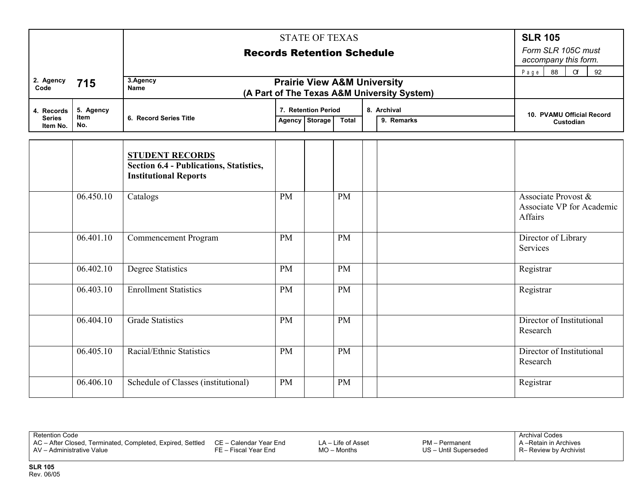|                                         |                                 | <b>Records Retention Schedule</b>                                                                 | <b>SLR 105</b><br>Form SLR 105C must<br>accompany this form.<br>88<br>92<br>Page<br>$\alpha$ |                                                                                    |           |  |  |                                                             |  |
|-----------------------------------------|---------------------------------|---------------------------------------------------------------------------------------------------|----------------------------------------------------------------------------------------------|------------------------------------------------------------------------------------|-----------|--|--|-------------------------------------------------------------|--|
| 2. Agency<br>Code                       | 715                             | 3.Agency<br><b>Name</b>                                                                           | <b>Prairie View A&amp;M University</b><br>(A Part of The Texas A&M University System)        |                                                                                    |           |  |  |                                                             |  |
| 4. Records<br><b>Series</b><br>Item No. | 5. Agency<br><b>Item</b><br>No. | 6. Record Series Title                                                                            |                                                                                              | 8. Archival<br>7. Retention Period<br>Agency Storage<br>9. Remarks<br><b>Total</b> |           |  |  | 10. PVAMU Official Record<br>Custodian                      |  |
|                                         |                                 | <b>STUDENT RECORDS</b><br>Section 6.4 - Publications, Statistics,<br><b>Institutional Reports</b> |                                                                                              |                                                                                    |           |  |  |                                                             |  |
|                                         | 06.450.10                       | Catalogs                                                                                          | <b>PM</b>                                                                                    |                                                                                    | <b>PM</b> |  |  | Associate Provost &<br>Associate VP for Academic<br>Affairs |  |
|                                         | 06.401.10                       | Commencement Program                                                                              | <b>PM</b>                                                                                    |                                                                                    | <b>PM</b> |  |  | Director of Library<br>Services                             |  |
|                                         | 06.402.10                       | <b>Degree Statistics</b>                                                                          | <b>PM</b>                                                                                    |                                                                                    | <b>PM</b> |  |  | Registrar                                                   |  |
|                                         | 06.403.10                       | <b>Enrollment Statistics</b>                                                                      | <b>PM</b>                                                                                    |                                                                                    | <b>PM</b> |  |  | Registrar                                                   |  |
|                                         | 06.404.10                       | <b>Grade Statistics</b>                                                                           | <b>PM</b>                                                                                    |                                                                                    | PM        |  |  | Director of Institutional<br>Research                       |  |
|                                         | 06.405.10                       | Racial/Ethnic Statistics                                                                          | <b>PM</b>                                                                                    |                                                                                    | <b>PM</b> |  |  | Director of Institutional<br>Research                       |  |
|                                         | 06.406.10                       | Schedule of Classes (institutional)                                                               | <b>PM</b>                                                                                    |                                                                                    | PM        |  |  | Registrar                                                   |  |

AC – After Closed, Terminated, Completed, Expired, Settled AV – Administrative Value

CE – Calendar Year End FE – Fiscal Year End

LA – Life of Asset MO – Months

PM – Permanent US – Until Superseded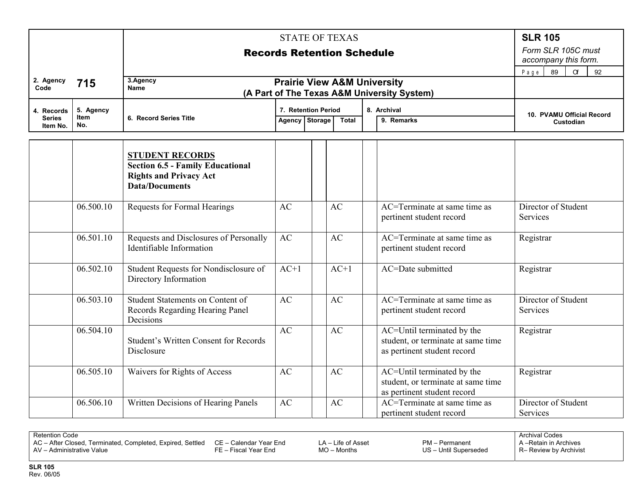|                             |                   |                                                                                                                             | <b>STATE OF TEXAS</b>        |                                       |              |                                                                                                 |                                            |  |  |
|-----------------------------|-------------------|-----------------------------------------------------------------------------------------------------------------------------|------------------------------|---------------------------------------|--------------|-------------------------------------------------------------------------------------------------|--------------------------------------------|--|--|
|                             |                   |                                                                                                                             |                              | <b>Records Retention Schedule</b>     |              |                                                                                                 | Form SLR 105C must<br>accompany this form. |  |  |
|                             |                   |                                                                                                                             | 89<br>$\alpha$<br>92<br>Page |                                       |              |                                                                                                 |                                            |  |  |
| 2. Agency<br>Code           | 715               | 3.Agency<br><b>Name</b><br>(A Part of The Texas A&M University System)                                                      |                              |                                       |              |                                                                                                 |                                            |  |  |
| 4. Records<br><b>Series</b> | 5. Agency<br>Item | 6. Record Series Title                                                                                                      |                              | 7. Retention Period<br>Agency Storage | <b>Total</b> | 8. Archival<br>9. Remarks                                                                       | 10. PVAMU Official Record<br>Custodian     |  |  |
| Item No.                    | No.               |                                                                                                                             |                              |                                       |              |                                                                                                 |                                            |  |  |
|                             |                   | <b>STUDENT RECORDS</b><br><b>Section 6.5 - Family Educational</b><br><b>Rights and Privacy Act</b><br><b>Data/Documents</b> |                              |                                       |              |                                                                                                 |                                            |  |  |
|                             | 06.500.10         | <b>Requests for Formal Hearings</b>                                                                                         | AC                           | AC                                    |              | $AC = Terminate$ at same time as<br>pertinent student record                                    | Director of Student<br>Services            |  |  |
|                             | 06.501.10         | Requests and Disclosures of Personally<br>Identifiable Information                                                          | AC                           | AC                                    |              | AC=Terminate at same time as<br>pertinent student record                                        | Registrar                                  |  |  |
|                             | 06.502.10         | Student Requests for Nondisclosure of<br>Directory Information                                                              | $AC+1$                       | $AC+1$                                |              | AC=Date submitted                                                                               | Registrar                                  |  |  |
|                             | 06.503.10         | <b>Student Statements on Content of</b><br>Records Regarding Hearing Panel<br>Decisions                                     | AC                           | AC                                    |              | AC=Terminate at same time as<br>pertinent student record                                        | Director of Student<br>Services            |  |  |
|                             | 06.504.10         | <b>Student's Written Consent for Records</b><br>Disclosure                                                                  | AC                           | AC                                    |              | AC=Until terminated by the<br>student, or terminate at same time<br>as pertinent student record | Registrar                                  |  |  |
|                             | 06.505.10         | Waivers for Rights of Access                                                                                                | AC                           | AC                                    |              | AC=Until terminated by the<br>student, or terminate at same time<br>as pertinent student record | Registrar                                  |  |  |
|                             | 06.506.10         | Written Decisions of Hearing Panels                                                                                         | AC                           | AC                                    |              | AC=Terminate at same time as<br>pertinent student record                                        | Director of Student<br>Services            |  |  |

AC – After Closed, Terminated, Completed, Expired, Settled AV – Administrative Value CE – Calendar Year End FE – Fiscal Year End

LA – Life of Asset MO – Months

PM – Permanent US – Until Superseded